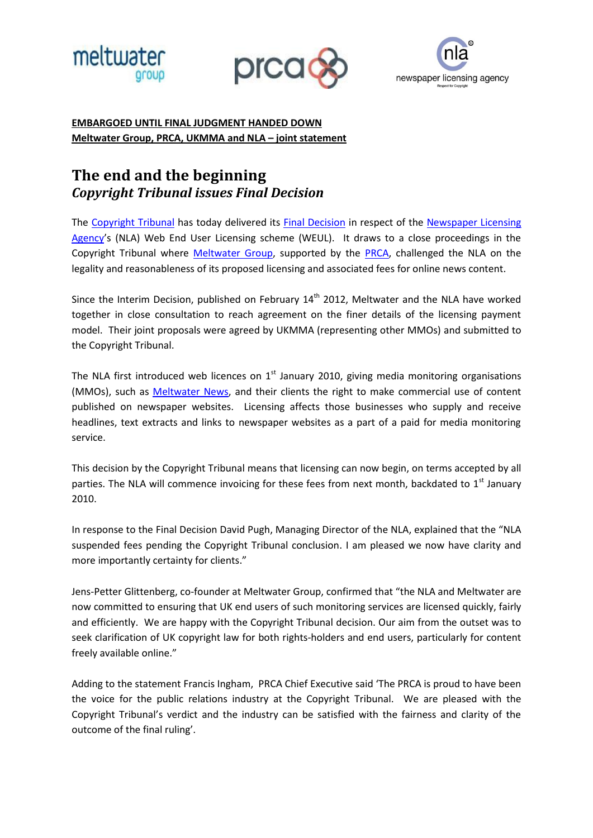





## **EMBARGOED UNTIL FINAL JUDGMENT HANDED DOWN Meltwater Group, PRCA, UKMMA and NLA – joint statement**

# **The end and the beginning** *Copyright Tribunal issues Final Decision*

The [Copyright Tribunal](http://www.ipo.gov.uk/ctribunal) has today delivered its [Final Decision](http://www.ipo.gov.uk/ct11409-final-150212.pdf) in respect of the [Newspaper Licensing](http://www.nla.co.uk/)  [Agency](http://www.nla.co.uk/)'s (NLA) Web End User Licensing scheme (WEUL). It draws to a close proceedings in the Copyright Tribunal where [Meltwater](http://www.meltwater.com/) Group, supported by the [PRCA,](http://www.prca.org.uk/) challenged the NLA on the legality and reasonableness of its proposed licensing and associated fees for online news content.

Since the Interim Decision, published on February  $14<sup>th</sup>$  2012, Meltwater and the NLA have worked together in close consultation to reach agreement on the finer details of the licensing payment model. Their joint proposals were agreed by UKMMA (representing other MMOs) and submitted to the Copyright Tribunal.

The NLA first introduced web licences on  $1<sup>st</sup>$  January 2010, giving media monitoring organisations (MMOs), such as **Meltwater News**, and their clients the right to make commercial use of content published on newspaper websites. Licensing affects those businesses who supply and receive headlines, text extracts and links to newspaper websites as a part of a paid for media monitoring service.

This decision by the Copyright Tribunal means that licensing can now begin, on terms accepted by all parties. The NLA will commence invoicing for these fees from next month, backdated to 1<sup>st</sup> January 2010.

In response to the Final Decision David Pugh, Managing Director of the NLA, explained that the "NLA suspended fees pending the Copyright Tribunal conclusion. I am pleased we now have clarity and more importantly certainty for clients."

Jens-Petter Glittenberg, co-founder at Meltwater Group, confirmed that "the NLA and Meltwater are now committed to ensuring that UK end users of such monitoring services are licensed quickly, fairly and efficiently. We are happy with the Copyright Tribunal decision. Our aim from the outset was to seek clarification of UK copyright law for both rights-holders and end users, particularly for content freely available online."

Adding to the statement Francis Ingham, PRCA Chief Executive said 'The PRCA is proud to have been the voice for the public relations industry at the Copyright Tribunal. We are pleased with the Copyright Tribunal's verdict and the industry can be satisfied with the fairness and clarity of the outcome of the final ruling'.